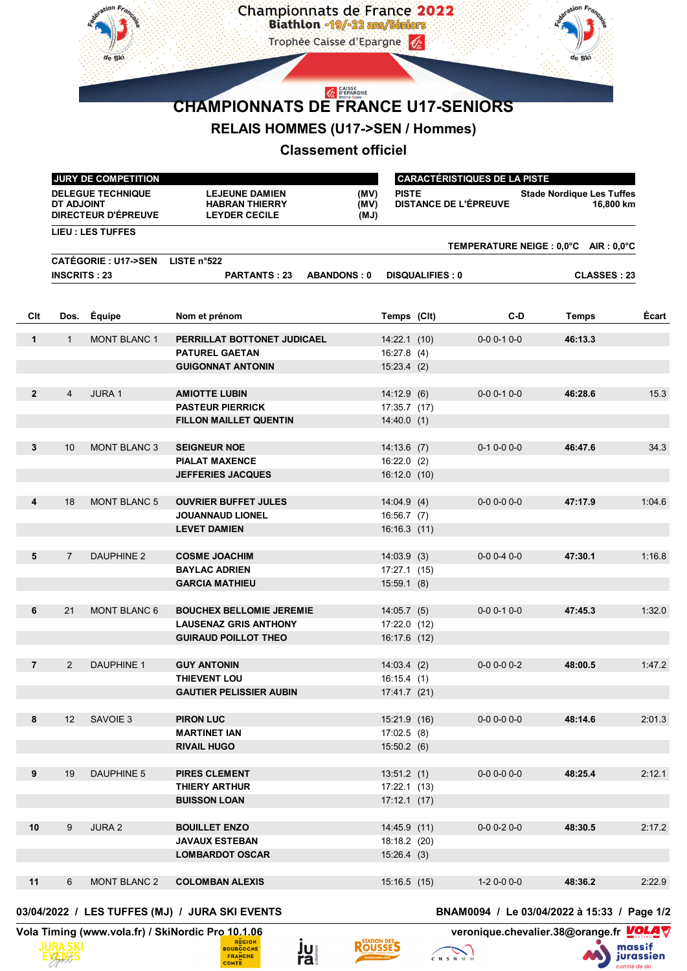

## **RELAIS HOMMES (U17->SEN / Hommes)**

## **Classement officiel**

|                | JURY DE COMPETITION                                                  |                          |                                                                        |                      |                        | <b>CARACTÉRISTIQUES DE LA PISTE</b> |                              |                                               |        |  |
|----------------|----------------------------------------------------------------------|--------------------------|------------------------------------------------------------------------|----------------------|------------------------|-------------------------------------|------------------------------|-----------------------------------------------|--------|--|
|                | <b>DELEGUE TECHNIQUE</b><br>DT ADJOINT<br><b>DIRECTEUR D'ÉPREUVE</b> |                          | <b>LEJEUNE DAMIEN</b><br><b>HABRAN THIERRY</b><br><b>LEYDER CECILE</b> | (MV)<br>(MV)<br>(MJ) | <b>PISTE</b>           |                                     | <b>DISTANCE DE L'ÉPREUVE</b> | <b>Stade Nordique Les Tuffes</b><br>16,800 km |        |  |
|                |                                                                      | <b>LIEU : LES TUFFES</b> |                                                                        |                      |                        |                                     |                              |                                               |        |  |
|                |                                                                      |                          |                                                                        |                      |                        |                                     |                              | TEMPERATURE NEIGE : 0,0°C AIR : 0,0°C         |        |  |
|                | <b>CATÉGORIE : U17-&gt;SEN</b><br><b>INSCRITS: 23</b>                |                          | LISTE $n^{\circ}$ 522                                                  |                      |                        |                                     |                              |                                               |        |  |
|                |                                                                      |                          | <b>PARTANTS: 23</b>                                                    | <b>ABANDONS: 0</b>   | <b>DISQUALIFIES: 0</b> |                                     |                              | <b>CLASSES: 23</b>                            |        |  |
|                |                                                                      |                          |                                                                        |                      |                        |                                     |                              |                                               |        |  |
| Clt            | Dos.                                                                 | Équipe                   | Nom et prénom                                                          |                      | Temps (CIt)            |                                     | C-D                          | Temps                                         | Ecart  |  |
| $\mathbf{1}$   | $\mathbf{1}$                                                         | <b>MONT BLANC 1</b>      | PERRILLAT BOTTONET JUDICAEL                                            |                      | 14.22.1(10)            |                                     | $0 - 0 0 - 1 0 - 0$          | 46:13.3                                       |        |  |
|                |                                                                      |                          | <b>PATUREL GAETAN</b>                                                  |                      | 16:27.8(4)             |                                     |                              |                                               |        |  |
|                |                                                                      |                          | <b>GUIGONNAT ANTONIN</b>                                               |                      | $15:23.4$ (2)          |                                     |                              |                                               |        |  |
|                |                                                                      |                          |                                                                        |                      |                        |                                     |                              |                                               |        |  |
| $\overline{2}$ | $\overline{4}$                                                       | <b>JURA1</b>             | <b>AMIOTTE LUBIN</b>                                                   |                      | 14:12.9(6)             |                                     | $0-0$ 0-1 0-0                | 46:28.6                                       | 15.3   |  |
|                |                                                                      |                          | <b>PASTEUR PIERRICK</b>                                                |                      | 17:35.7 (17)           |                                     |                              |                                               |        |  |
|                |                                                                      |                          | <b>FILLON MAILLET QUENTIN</b>                                          |                      | $14:40.0$ (1)          |                                     |                              |                                               |        |  |
|                |                                                                      |                          |                                                                        |                      |                        |                                     |                              |                                               |        |  |
| 3              | 10                                                                   | <b>MONT BLANC 3</b>      | <b>SEIGNEUR NOE</b>                                                    |                      | $14:13.6$ (7)          |                                     | $0-1$ $0-0$ $0-0$            | 46:47.6                                       | 34.3   |  |
|                |                                                                      |                          | <b>PIALAT MAXENCE</b>                                                  |                      | $16:22.0$ (2)          |                                     |                              |                                               |        |  |
|                |                                                                      |                          | <b>JEFFERIES JACQUES</b>                                               |                      | $16:12.0$ (10)         |                                     |                              |                                               |        |  |
|                |                                                                      |                          |                                                                        |                      |                        |                                     |                              |                                               |        |  |
| 4              | 18                                                                   | <b>MONT BLANC 5</b>      | <b>OUVRIER BUFFET JULES</b>                                            |                      | 14:04.9(4)             |                                     | $0 - 0$ $0 - 0$ $0 - 0$      | 47:17.9                                       | 1:04.6 |  |
|                |                                                                      |                          | <b>JOUANNAUD LIONEL</b>                                                |                      | 16:56.7(7)             |                                     |                              |                                               |        |  |
|                |                                                                      |                          | <b>LEVET DAMIEN</b>                                                    |                      | 16:16.3 (11)           |                                     |                              |                                               |        |  |
| 5              | $\overline{7}$                                                       | <b>DAUPHINE 2</b>        | <b>COSME JOACHIM</b>                                                   |                      | 14:03.9(3)             |                                     | $0 - 0$ 0 $-4$ 0 $-0$        | 47:30.1                                       | 1:16.8 |  |
|                |                                                                      |                          | <b>BAYLAC ADRIEN</b>                                                   |                      | 17:27.1(15)            |                                     |                              |                                               |        |  |
|                |                                                                      |                          | <b>GARCIA MATHIEU</b>                                                  |                      | 15:59.1(8)             |                                     |                              |                                               |        |  |
|                |                                                                      |                          |                                                                        |                      |                        |                                     |                              |                                               |        |  |
| 6              | 21                                                                   | <b>MONT BLANC 6</b>      | <b>BOUCHEX BELLOMIE JEREMIE</b>                                        |                      | $14:05.7$ (5)          |                                     | $0 - 0 0 - 1 0 - 0$          | 47:45.3                                       | 1:32.0 |  |
|                |                                                                      |                          | <b>LAUSENAZ GRIS ANTHONY</b>                                           |                      | $17:22.0$ (12)         |                                     |                              |                                               |        |  |
|                |                                                                      |                          | <b>GUIRAUD POILLOT THEO</b>                                            |                      | 16:17.6 (12)           |                                     |                              |                                               |        |  |
|                |                                                                      |                          |                                                                        |                      |                        |                                     |                              |                                               |        |  |
| $\overline{7}$ | 2                                                                    | <b>DAUPHINE 1</b>        | <b>GUY ANTONIN</b>                                                     |                      | 14:03.4(2)             |                                     | $0 - 0 0 - 0 0 - 2$          | 48:00.5                                       | 1:47.2 |  |
|                |                                                                      |                          | <b>THIEVENT LOU</b>                                                    |                      | 16:15.4(1)             |                                     |                              |                                               |        |  |
|                |                                                                      |                          | <b>GAUTIER PELISSIER AUBIN</b>                                         |                      | 17:41.7 (21)           |                                     |                              |                                               |        |  |
|                |                                                                      |                          |                                                                        |                      |                        |                                     |                              |                                               |        |  |
| 8              | $12 \overline{ }$                                                    | SAVOIE 3                 | <b>PIRON LUC</b>                                                       |                      | 15:21.9 (16)           |                                     | $0-0$ $0-0$ $0-0$            | 48:14.6                                       | 2:01.3 |  |
|                |                                                                      |                          | <b>MARTINET IAN</b>                                                    |                      | 17:02.5(8)             |                                     |                              |                                               |        |  |
|                |                                                                      |                          | <b>RIVAIL HUGO</b>                                                     |                      | 15:50.2(6)             |                                     |                              |                                               |        |  |
| 9              | 19                                                                   | DAUPHINE 5               | PIRES CLEMENT                                                          |                      | 13:51.2(1)             |                                     | $0-0$ $0-0$ $0-0$            | 48:25.4                                       | 2:12.1 |  |
|                |                                                                      |                          | THIERY ARTHUR                                                          |                      | 17:22.1 (13)           |                                     |                              |                                               |        |  |
|                |                                                                      |                          | <b>BUISSON LOAN</b>                                                    |                      | 17:12.1(17)            |                                     |                              |                                               |        |  |
|                |                                                                      |                          |                                                                        |                      |                        |                                     |                              |                                               |        |  |
| 10             | 9                                                                    | JURA 2                   | <b>BOUILLET ENZO</b>                                                   |                      | 14:45.9 (11)           |                                     | $0-0$ $0-2$ $0-0$            | 48:30.5                                       | 2:17.2 |  |
|                |                                                                      |                          | <b>JAVAUX ESTEBAN</b>                                                  |                      | 18:18.2 (20)           |                                     |                              |                                               |        |  |
|                |                                                                      |                          | <b>LOMBARDOT OSCAR</b>                                                 |                      | 15:26.4(3)             |                                     |                              |                                               |        |  |
|                |                                                                      |                          |                                                                        |                      |                        |                                     |                              |                                               |        |  |
| 11             | 6                                                                    | <b>MONT BLANC 2</b>      | <b>COLOMBAN ALEXIS</b>                                                 |                      | 15:16.5 (15)           |                                     | 1-2 0-0 0-0                  | 48:36.2                                       | 2:22.9 |  |

## **03/04/2022 / LES TUFFES (MJ) / JURA SKI EVENTS BNAM0094 / Le 03/04/2022 à 15:33 / Page 1/2**





ju<br>ra